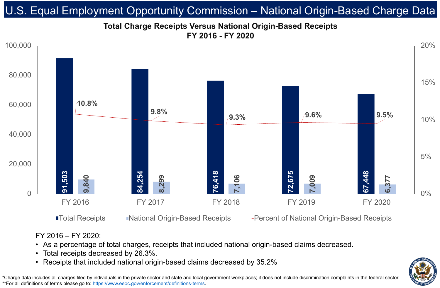# • As a percentage of total charges, receipts that included national origin-based claims decreased.



- 
- Total receipts decreased by 26.3%.
- 



# **Total Charge Receipts Versus National Origin-Based Receipts FY 2016 - FY 2020** U.S. Equal Employment Opportunity Commission – National Origin-Based Charge Data

\*Charge data includes all charges filed by individuals in the private sector and state and local government workplaces; it does not include discrimination complaints in the federal sector. \*\*For all definitions of terms please go to:<https://www.eeoc.gov/enforcement/definitions-terms>.

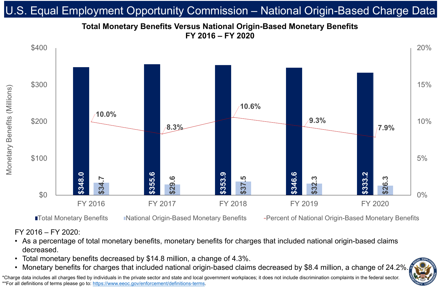FY 2016 – FY 2020:

### • As a percentage of total monetary benefits, monetary benefits for charges that included national origin-based claims



- decreased.
- 
- 

# **Total Monetary Benefits Versus National Origin-Based Monetary Benefits FY 2016 – FY 2020** U.S. Equal Employment Opportunity Commission – National Origin-Based Charge Data

\*Charge data includes all charges filed by individuals in the private sector and state and local government workplaces; it does not include discrimination complaints in the federal sector. \*\*For all definitions of terms please go to:<https://www.eeoc.gov/enforcement/definitions-terms>.

# • Total monetary benefits decreased by \$14.8 million, a change of 4.3%.<br>• Monetary benefits for charges that included national origin-based claims decreased by \$8.4 million, a change of 24.2%.

■Total Monetary Benefits Mational Origin-Based Monetary Benefits + Percent of National Origin-Based Monetary Benefits

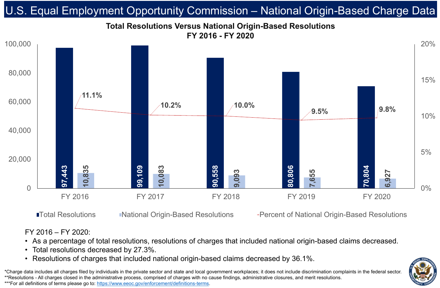

# **Total Resolutions Versus National Origin-Based Resolutions FY 2016 - FY 2020** U.S. Equal Employment Opportunity Commission – National Origin-Based Charge Data

\*Charge data includes all charges filed by individuals in the private sector and state and local government workplaces; it does not include discrimination complaints in the federal sector. \*\*Resolutions - All charges closed in the administrative process, comprised of charges with no cause findings, administrative closures, and merit resolutions. \*\*\*For all definitions of terms please go to:<https://www.eeoc.gov/enforcement/definitions-terms>.

### ■Total Resolutions Mational Origin-Based Resolutions + Percent of National Origin-Based Resolutions

### FY 2016 – FY 2020:

# • As a percentage of total resolutions, resolutions of charges that included national origin-based claims decreased. • Resolutions of charges that included national origin-based claims decreased by 36.1%.



- 
- Total resolutions decreased by 27.3%.
-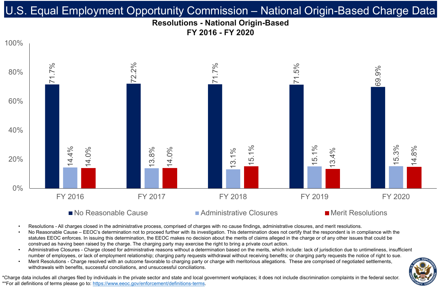## **Resolutions - National Origin-Based FY 2016 - FY 2020** U.S. Equal Employment Opportunity Commission – National Origin-Based Charge Data



### $\blacksquare$  No Reasonable Cause  $\blacksquare$  Administrative Closures  $\blacksquare$  Merit Resolutions



- 
- 
- 
- 

Resolutions - All charges closed in the administrative process, comprised of charges with no cause findings, administrative closures, and merit resolutions. No Reasonable Cause – EEOC's determination not to proceed further with its investigation. This determination does not certify that the respondent is in compliance with the statutes EEOC enforces. In issuing this determination, the EEOC makes no decision about the merits of claims alleged in the charge or of any other issues that could be construed as having been raised by the charge. The charging party may exercise the right to bring a private court action. • Administrative Closures - Charge closed for administrative reasons without a determination based on the merits, which include: lack of jurisdiction due to untimeliness, insufficient number of employees, or lack of employment relationship; charging party requests withdrawal without receiving benefits; or charging party requests the notice of right to sue. Merit Resolutions - Charge resolved with an outcome favorable to charging party or charge with meritorious allegations. These are comprised of negotiated settlements, withdrawals with benefits, successful conciliations, and unsuccessful conciliations.

\*Charge data includes all charges filed by individuals in the private sector and state and local government workplaces; it does not include discrimination complaints in the federal sector. \*\*For all definitions of terms please go to:<https://www.eeoc.gov/enforcement/definitions-terms>.